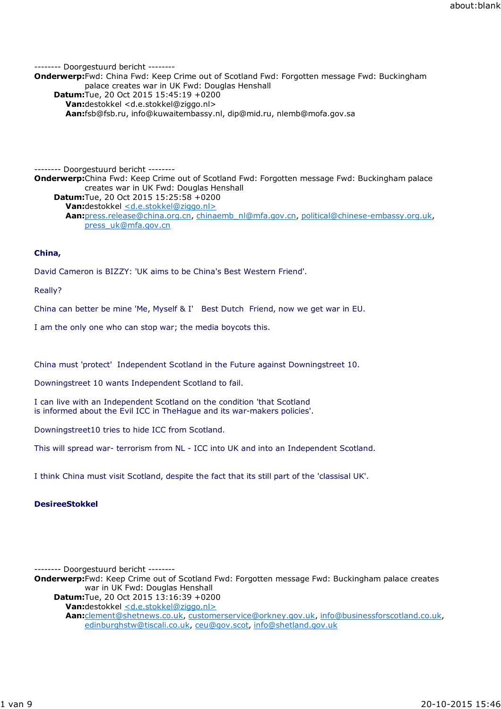-------- Doorgestuurd bericht -------- **Onderwerp:**Fwd: China Fwd: Keep Crime out of Scotland Fwd: Forgotten message Fwd: Buckingham palace creates war in UK Fwd: Douglas Henshall **Datum:**Tue, 20 Oct 2015 15:45:19 +0200 **Van:**destokkel <d.e.stokkel@ziggo.nl> **Aan:**fsb@fsb.ru, info@kuwaitembassy.nl, dip@mid.ru, nlemb@mofa.gov.sa

-------- Doorgestuurd bericht -------- **Onderwerp:**China Fwd: Keep Crime out of Scotland Fwd: Forgotten message Fwd: Buckingham palace creates war in UK Fwd: Douglas Henshall **Datum:**Tue, 20 Oct 2015 15:25:58 +0200 Van:destokkel <d.e.stokkel@ziggo.nl> **Aan:**press.release@china.org.cn, chinaemb\_nl@mfa.gov.cn, political@chinese-embassy.org.uk, press\_uk@mfa.gov.cn

# **China,**

David Cameron is BIZZY: 'UK aims to be China's Best Western Friend'.

Really?

China can better be mine 'Me, Myself & I' Best Dutch Friend, now we get war in EU.

I am the only one who can stop war; the media boycots this.

China must 'protect' Independent Scotland in the Future against Downingstreet 10.

Downingstreet 10 wants Independent Scotland to fail.

I can live with an Independent Scotland on the condition 'that Scotland is informed about the Evil ICC in TheHague and its war-makers policies'.

Downingstreet10 tries to hide ICC from Scotland.

This will spread war- terrorism from NL - ICC into UK and into an Independent Scotland.

I think China must visit Scotland, despite the fact that its still part of the 'classisal UK'.

# **DesireeStokkel**

-------- Doorgestuurd bericht --------

**Onderwerp:**Fwd: Keep Crime out of Scotland Fwd: Forgotten message Fwd: Buckingham palace creates war in UK Fwd: Douglas Henshall

**Datum:**Tue, 20 Oct 2015 13:16:39 +0200 Van:destokkel <d.e.stokkel@ziggo.nl>

**Aan:**clement@shetnews.co.uk, customerservice@orkney.gov.uk, info@businessforscotland.co.uk, edinburghstw@tiscali.co.uk, ceu@gov.scot, info@shetland.gov.uk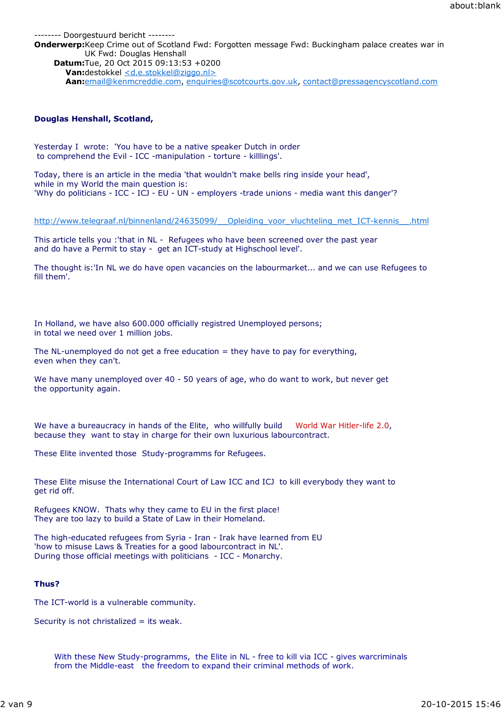-------- Doorgestuurd bericht -------- **Onderwerp:**Keep Crime out of Scotland Fwd: Forgotten message Fwd: Buckingham palace creates war in UK Fwd: Douglas Henshall **Datum:**Tue, 20 Oct 2015 09:13:53 +0200 **Van:**destokkel <d.e.stokkel@ziggo.nl> **Aan:**email@kenmcreddie.com, enquiries@scotcourts.gov.uk, contact@pressagencyscotland.com

# **Douglas Henshall, Scotland,**

Yesterday I wrote: 'You have to be a native speaker Dutch in order to comprehend the Evil - ICC -manipulation - torture - killlings'.

Today, there is an article in the media 'that wouldn't make bells ring inside your head', while in my World the main question is: 'Why do politicians - ICC - ICJ - EU - UN - employers -trade unions - media want this danger'?

http://www.telegraaf.nl/binnenland/24635099/\_\_Opleiding\_voor\_vluchteling\_met\_ICT-kennis\_\_.html

This article tells you :'that in NL - Refugees who have been screened over the past year and do have a Permit to stay - get an ICT-study at Highschool level'.

The thought is:'In NL we do have open vacancies on the labourmarket... and we can use Refugees to fill them'.

In Holland, we have also 600.000 officially registred Unemployed persons; in total we need over 1 million jobs.

The NL-unemployed do not get a free education  $=$  they have to pay for everything, even when they can't.

We have many unemployed over 40 - 50 years of age, who do want to work, but never get the opportunity again.

We have a bureaucracy in hands of the Elite, who willfully build World War Hitler-life 2.0, because they want to stay in charge for their own luxurious labourcontract.

These Elite invented those Study-programms for Refugees.

These Elite misuse the International Court of Law ICC and ICJ to kill everybody they want to get rid off.

Refugees KNOW. Thats why they came to EU in the first place! They are too lazy to build a State of Law in their Homeland.

The high-educated refugees from Syria - Iran - Irak have learned from EU 'how to misuse Laws & Treaties for a good labourcontract in NL'. During those official meetings with politicians - ICC - Monarchy.

# **Thus?**

The ICT-world is a vulnerable community.

Security is not christalized = its weak.

With these New Study-programms, the Elite in NL - free to kill via ICC - gives warcriminals from the Middle-east the freedom to expand their criminal methods of work.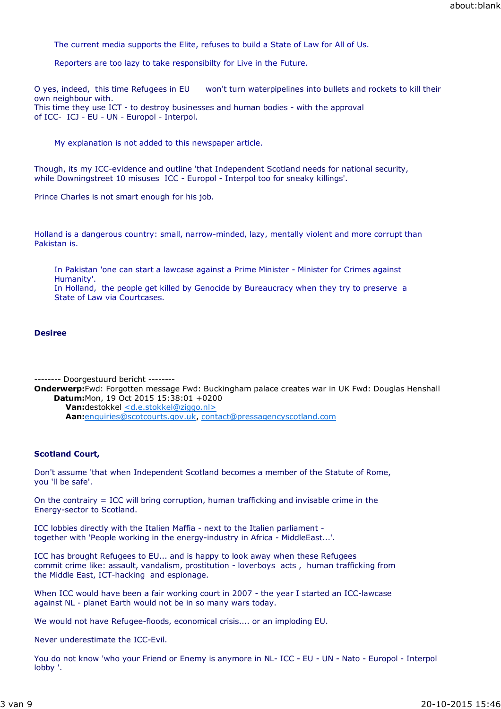The current media supports the Elite, refuses to build a State of Law for All of Us.

Reporters are too lazy to take responsibilty for Live in the Future.

O yes, indeed, this time Refugees in EU won't turn waterpipelines into bullets and rockets to kill their own neighbour with. This time they use ICT - to destroy businesses and human bodies - with the approval of ICC- ICJ - EU - UN - Europol - Interpol.

My explanation is not added to this newspaper article.

Though, its my ICC-evidence and outline 'that Independent Scotland needs for national security, while Downingstreet 10 misuses ICC - Europol - Interpol too for sneaky killings'.

Prince Charles is not smart enough for his job.

Holland is a dangerous country: small, narrow-minded, lazy, mentally violent and more corrupt than Pakistan is.

In Pakistan 'one can start a lawcase against a Prime Minister - Minister for Crimes against Humanity'.

In Holland, the people get killed by Genocide by Bureaucracy when they try to preserve a State of Law via Courtcases.

#### **Desiree**

-------- Doorgestuurd bericht --------

**Onderwerp:**Fwd: Forgotten message Fwd: Buckingham palace creates war in UK Fwd: Douglas Henshall **Datum:**Mon, 19 Oct 2015 15:38:01 +0200

**Van:**destokkel <d.e.stokkel@ziggo.nl> **Aan:**enquiries@scotcourts.gov.uk, contact@pressagencyscotland.com

## **Scotland Court,**

Don't assume 'that when Independent Scotland becomes a member of the Statute of Rome, you 'll be safe'.

On the contrairy = ICC will bring corruption, human trafficking and invisable crime in the Energy-sector to Scotland.

ICC lobbies directly with the Italien Maffia - next to the Italien parliament together with 'People working in the energy-industry in Africa - MiddleEast...'.

ICC has brought Refugees to EU... and is happy to look away when these Refugees commit crime like: assault, vandalism, prostitution - loverboys acts , human trafficking from the Middle East, ICT-hacking and espionage.

When ICC would have been a fair working court in 2007 - the year I started an ICC-lawcase against NL - planet Earth would not be in so many wars today.

We would not have Refugee-floods, economical crisis.... or an imploding EU.

Never underestimate the ICC-Evil.

You do not know 'who your Friend or Enemy is anymore in NL- ICC - EU - UN - Nato - Europol - Interpol lobby '.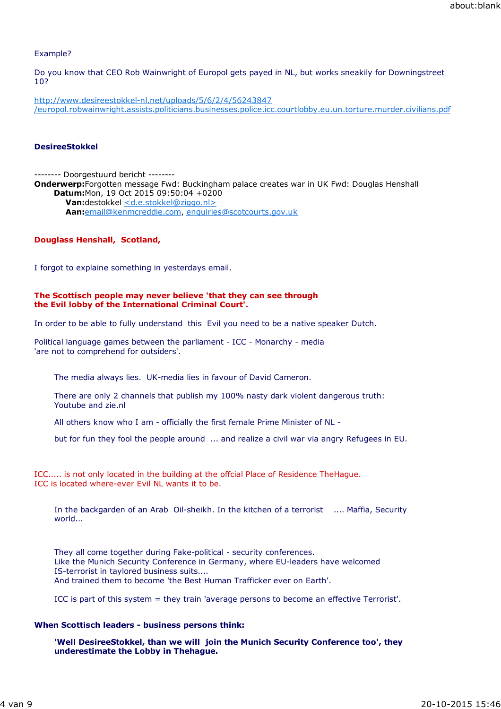## Example?

Do you know that CEO Rob Wainwright of Europol gets payed in NL, but works sneakily for Downingstreet 10?

http://www.desireestokkel-nl.net/uploads/5/6/2/4/56243847 /europol.robwainwright.assists.politicians.businesses.police.icc.courtlobby.eu.un.torture.murder.civilians.pdf

#### **DesireeStokkel**

-------- Doorgestuurd bericht -------- **Onderwerp:**Forgotten message Fwd: Buckingham palace creates war in UK Fwd: Douglas Henshall **Datum:**Mon, 19 Oct 2015 09:50:04 +0200 **Van:**destokkel <d.e.stokkel@ziggo.nl> **Aan:**email@kenmcreddie.com, enquiries@scotcourts.gov.uk

#### **Douglass Henshall, Scotland,**

I forgot to explaine something in yesterdays email.

#### **The Scottisch people may never believe 'that they can see through the Evil lobby of the International Criminal Court'.**

In order to be able to fully understand this Evil you need to be a native speaker Dutch.

Political language games between the parliament - ICC - Monarchy - media 'are not to comprehend for outsiders'.

The media always lies. UK-media lies in favour of David Cameron.

There are only 2 channels that publish my 100% nasty dark violent dangerous truth: Youtube and zie.nl

All others know who I am - officially the first female Prime Minister of NL -

but for fun they fool the people around ... and realize a civil war via angry Refugees in EU.

ICC..... is not only located in the building at the offcial Place of Residence TheHague. ICC is located where-ever Evil NL wants it to be.

In the backgarden of an Arab Oil-sheikh. In the kitchen of a terrorist .... Maffia, Security world...

They all come together during Fake-political - security conferences. Like the Munich Security Conference in Germany, where EU-leaders have welcomed IS-terrorist in taylored business suits.... And trained them to become 'the Best Human Trafficker ever on Earth'.

ICC is part of this system = they train 'average persons to become an effective Terrorist'.

#### **When Scottisch leaders - business persons think:**

**'Well DesireeStokkel, than we will join the Munich Security Conference too', they underestimate the Lobby in Thehague.**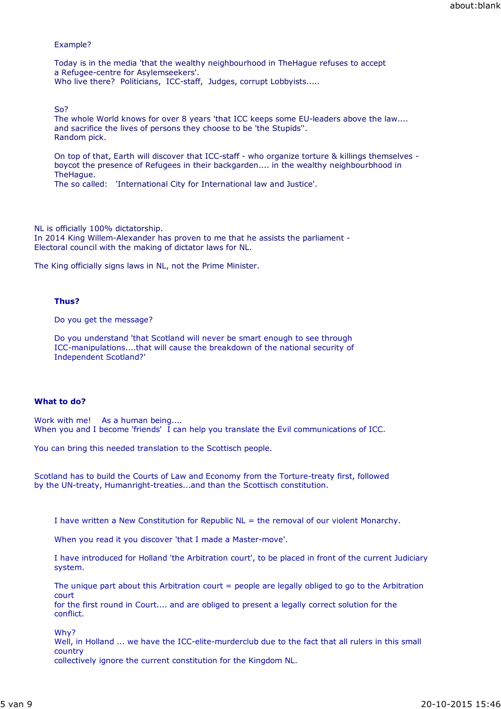#### Example?

Today is in the media 'that the wealthy neighbourhood in TheHague refuses to accept a Refugee-centre for Asylemseekers'. Who live there? Politicians, ICC-staff, Judges, corrupt Lobbyists.....

So?

The whole World knows for over 8 years 'that ICC keeps some EU-leaders above the law.... and sacrifice the lives of persons they choose to be 'the Stupids''. Random pick.

On top of that, Earth will discover that ICC-staff - who organize torture & killings themselves boycot the presence of Refugees in their backgarden.... in the wealthy neighbourbhood in TheHague.

The so called: 'International City for International law and Justice'.

NL is officially 100% dictatorship.

In 2014 King Willem-Alexander has proven to me that he assists the parliament - Electoral council with the making of dictator laws for NL.

The King officially signs laws in NL, not the Prime Minister.

## **Thus?**

Do you get the message?

Do you understand 'that Scotland will never be smart enough to see through ICC-manipulations....that will cause the breakdown of the national security of Independent Scotland?'

#### **What to do?**

Work with me! As a human being.... When you and I become 'friends' I can help you translate the Evil communications of ICC.

You can bring this needed translation to the Scottisch people.

Scotland has to build the Courts of Law and Economy from the Torture-treaty first, followed by the UN-treaty, Humanright-treaties...and than the Scottisch constitution.

I have written a New Constitution for Republic NL = the removal of our violent Monarchy.

When you read it you discover 'that I made a Master-move'.

I have introduced for Holland 'the Arbitration court', to be placed in front of the current Judiciary system.

The unique part about this Arbitration court  $=$  people are legally obliged to go to the Arbitration court

for the first round in Court.... and are obliged to present a legally correct solution for the conflict.

Why?

Well, in Holland ... we have the ICC-elite-murderclub due to the fact that all rulers in this small country collectively ignore the current constitution for the Kingdom NL.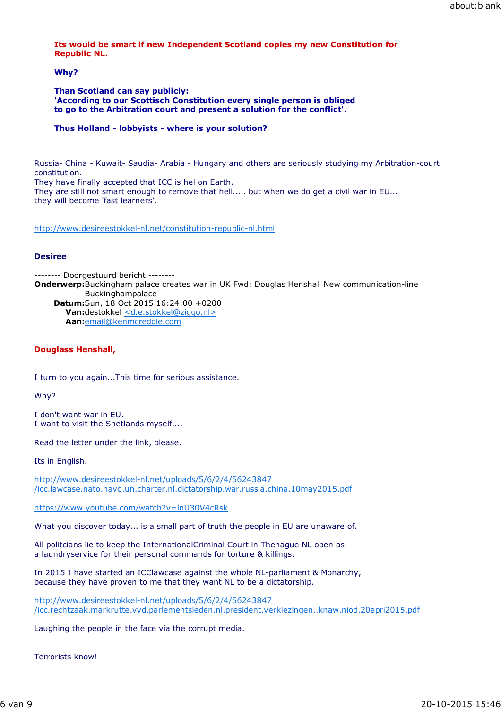# **Its would be smart if new Independent Scotland copies my new Constitution for Republic NL.**

# **Why?**

**Than Scotland can say publicly: 'According to our Scottisch Constitution every single person is obliged to go to the Arbitration court and present a solution for the conflict'.**

# **Thus Holland - lobbyists - where is your solution?**

Russia- China - Kuwait- Saudia- Arabia - Hungary and others are seriously studying my Arbitration-court constitution.

They have finally accepted that ICC is hel on Earth. They are still not smart enough to remove that hell..... but when we do get a civil war in EU... they will become 'fast learners'.

http://www.desireestokkel-nl.net/constitution-republic-nl.html

## **Desiree**

-------- Doorgestuurd bericht -------- **Onderwerp:**Buckingham palace creates war in UK Fwd: Douglas Henshall New communication-line Buckinghampalace **Datum:**Sun, 18 Oct 2015 16:24:00 +0200 **Van:**destokkel <d.e.stokkel@ziggo.nl> **Aan:**email@kenmcreddie.com

# **Douglass Henshall,**

I turn to you again...This time for serious assistance.

Why?

I don't want war in EU. I want to visit the Shetlands myself....

Read the letter under the link, please.

Its in English.

http://www.desireestokkel-nl.net/uploads/5/6/2/4/56243847 /icc.lawcase.nato.navo.un.charter.nl.dictatorship.war.russia.china.10may2015.pdf

https://www.youtube.com/watch?v=lnU30V4cRsk

What you discover today... is a small part of truth the people in EU are unaware of.

All politcians lie to keep the InternationalCriminal Court in Thehague NL open as a laundryservice for their personal commands for torture & killings.

In 2015 I have started an ICClawcase against the whole NL-parliament & Monarchy, because they have proven to me that they want NL to be a dictatorship.

http://www.desireestokkel-nl.net/uploads/5/6/2/4/56243847 /icc.rechtzaak.markrutte.vvd.parlementsleden.nl.president.verkiezingen..knaw.niod.20apri2015.pdf

Laughing the people in the face via the corrupt media.

Terrorists know!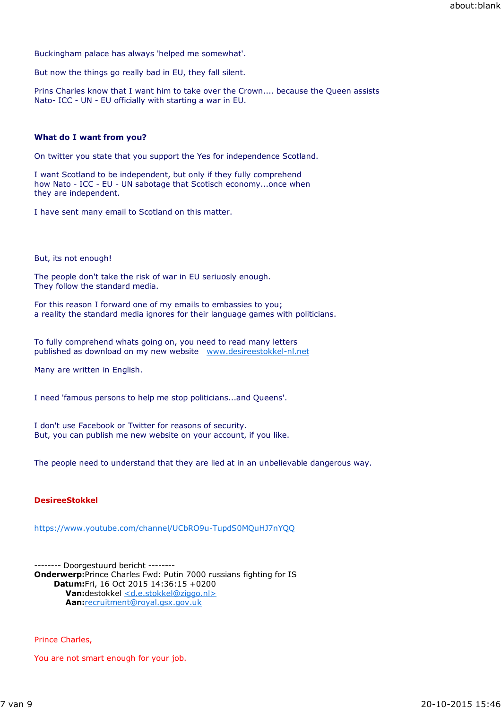Buckingham palace has always 'helped me somewhat'.

But now the things go really bad in EU, they fall silent.

Prins Charles know that I want him to take over the Crown.... because the Queen assists Nato- ICC - UN - EU officially with starting a war in EU.

# **What do I want from you?**

On twitter you state that you support the Yes for independence Scotland.

I want Scotland to be independent, but only if they fully comprehend how Nato - ICC - EU - UN sabotage that Scotisch economy...once when they are independent.

I have sent many email to Scotland on this matter.

But, its not enough!

The people don't take the risk of war in EU seriuosly enough. They follow the standard media.

For this reason I forward one of my emails to embassies to you; a reality the standard media ignores for their language games with politicians.

To fully comprehend whats going on, you need to read many letters published as download on my new website www.desireestokkel-nl.net

Many are written in English.

I need 'famous persons to help me stop politicians...and Queens'.

I don't use Facebook or Twitter for reasons of security. But, you can publish me new website on your account, if you like.

The people need to understand that they are lied at in an unbelievable dangerous way.

## **DesireeStokkel**

https://www.youtube.com/channel/UCbRO9u-TupdS0MQuHJ7nYQQ

-------- Doorgestuurd bericht -------- **Onderwerp:**Prince Charles Fwd: Putin 7000 russians fighting for IS **Datum:**Fri, 16 Oct 2015 14:36:15 +0200 Van:destokkel <d.e.stokkel@ziggo.nl> **Aan:**recruitment@royal.gsx.gov.uk

Prince Charles,

You are not smart enough for your job.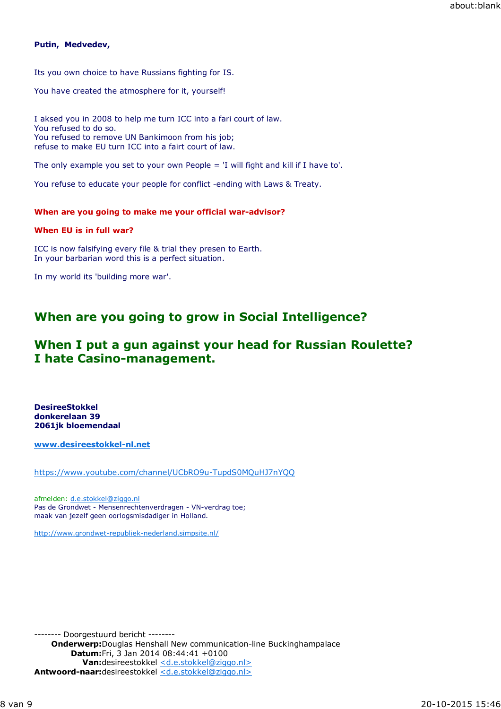# **Putin, Medvedev,**

Its you own choice to have Russians fighting for IS.

You have created the atmosphere for it, yourself!

I aksed you in 2008 to help me turn ICC into a fari court of law. You refused to do so. You refused to remove UN Bankimoon from his job; refuse to make EU turn ICC into a fairt court of law.

The only example you set to your own People  $=$  'I will fight and kill if I have to'.

You refuse to educate your people for conflict -ending with Laws & Treaty.

# **When are you going to make me your official war-advisor?**

# **When EU is in full war?**

ICC is now falsifying every file & trial they presen to Earth. In your barbarian word this is a perfect situation.

In my world its 'building more war'.

# **When are you going to grow in Social Intelligence?**

# **When I put a gun against your head for Russian Roulette? I hate Casino-management.**

**DesireeStokkel donkerelaan 39 2061jk bloemendaal**

**www.desireestokkel-nl.net**

https://www.youtube.com/channel/UCbRO9u-TupdS0MQuHJ7nYQQ

afmelden: d.e.stokkel@ziggo.nl Pas de Grondwet - Mensenrechtenverdragen - VN-verdrag toe; maak van jezelf geen oorlogsmisdadiger in Holland.

http://www.grondwet-republiek-nederland.simpsite.nl/

-------- Doorgestuurd bericht -------- **Onderwerp:**Douglas Henshall New communication-line Buckinghampalace **Datum:**Fri, 3 Jan 2014 08:44:41 +0100 Van:desireestokkel <d.e.stokkel@ziggo.nl> **Antwoord-naar:**desireestokkel <d.e.stokkel@ziggo.nl>